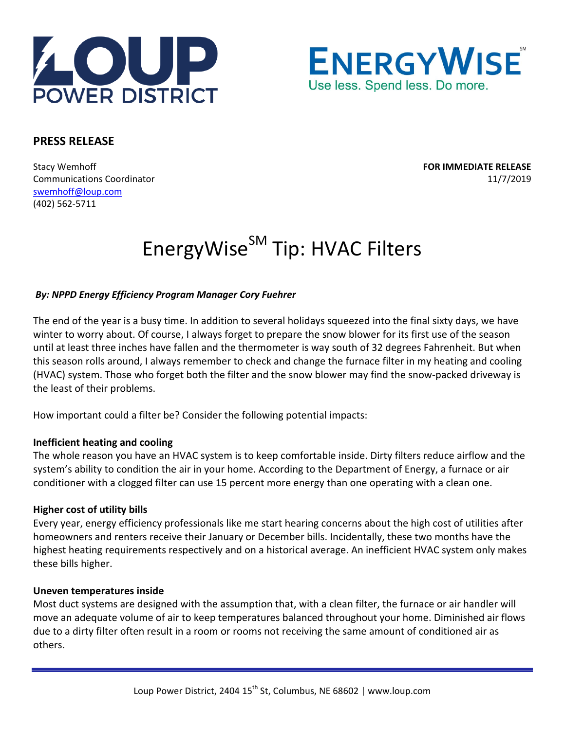



# **PRESS RELEASE**

Stacy Wemhoff **FOR IMMEDIATE RELEASE** Communications Coordinator 11/7/2019 swemhoff@loup.com (402) 562‐5711

# EnergyWise<sup>SM</sup> Tip: HVAC Filters

## *By: NPPD Energy Efficiency Program Manager Cory Fuehrer*

The end of the year is a busy time. In addition to several holidays squeezed into the final sixty days, we have winter to worry about. Of course, I always forget to prepare the snow blower for its first use of the season until at least three inches have fallen and the thermometer is way south of 32 degrees Fahrenheit. But when this season rolls around, I always remember to check and change the furnace filter in my heating and cooling (HVAC) system. Those who forget both the filter and the snow blower may find the snow‐packed driveway is the least of their problems.

How important could a filter be? Consider the following potential impacts:

#### **Inefficient heating and cooling**

The whole reason you have an HVAC system is to keep comfortable inside. Dirty filters reduce airflow and the system's ability to condition the air in your home. According to the Department of Energy, a furnace or air conditioner with a clogged filter can use 15 percent more energy than one operating with a clean one.

#### **Higher cost of utility bills**

Every year, energy efficiency professionals like me start hearing concerns about the high cost of utilities after homeowners and renters receive their January or December bills. Incidentally, these two months have the highest heating requirements respectively and on a historical average. An inefficient HVAC system only makes these bills higher.

#### **Uneven temperatures inside**

Most duct systems are designed with the assumption that, with a clean filter, the furnace or air handler will move an adequate volume of air to keep temperatures balanced throughout your home. Diminished air flows due to a dirty filter often result in a room or rooms not receiving the same amount of conditioned air as others.